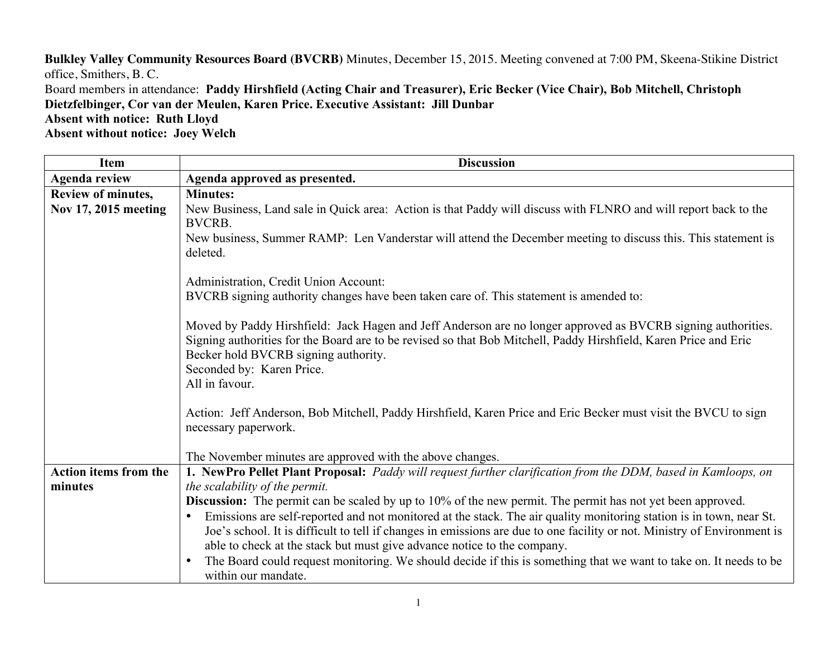**Bulkley Valley Community Resources Board (BVCRB)** Minutes, December 15, 2015. Meeting convened at 7:00 PM, Skeena-Stikine District office, Smithers, B. C. Board members in attendance: **Paddy Hirshfield (Acting Chair and Treasurer), Eric Becker (Vice Chair), Bob Mitchell, Christoph Dietzfelbinger, Cor van der Meulen, Karen Price. Executive Assistant: Jill Dunbar Absent with notice: Ruth Lloyd**

**Absent without notice: Joey Welch**

| <b>Item</b>                  | <b>Discussion</b>                                                                                                                                                                                                                                                                                                          |
|------------------------------|----------------------------------------------------------------------------------------------------------------------------------------------------------------------------------------------------------------------------------------------------------------------------------------------------------------------------|
| <b>Agenda review</b>         | Agenda approved as presented.                                                                                                                                                                                                                                                                                              |
| Review of minutes,           | <b>Minutes:</b>                                                                                                                                                                                                                                                                                                            |
| Nov 17, 2015 meeting         | New Business, Land sale in Quick area: Action is that Paddy will discuss with FLNRO and will report back to the<br>BVCRB.                                                                                                                                                                                                  |
|                              | New business, Summer RAMP: Len Vanderstar will attend the December meeting to discuss this. This statement is<br>deleted.                                                                                                                                                                                                  |
|                              | Administration, Credit Union Account:<br>BVCRB signing authority changes have been taken care of. This statement is amended to:                                                                                                                                                                                            |
|                              | Moved by Paddy Hirshfield: Jack Hagen and Jeff Anderson are no longer approved as BVCRB signing authorities.<br>Signing authorities for the Board are to be revised so that Bob Mitchell, Paddy Hirshfield, Karen Price and Eric<br>Becker hold BVCRB signing authority.<br>Seconded by: Karen Price.<br>All in favour.    |
|                              | Action: Jeff Anderson, Bob Mitchell, Paddy Hirshfield, Karen Price and Eric Becker must visit the BVCU to sign<br>necessary paperwork.                                                                                                                                                                                     |
|                              | The November minutes are approved with the above changes.                                                                                                                                                                                                                                                                  |
| <b>Action items from the</b> | 1. NewPro Pellet Plant Proposal: Paddy will request further clarification from the DDM, based in Kamloops, on                                                                                                                                                                                                              |
| minutes                      | the scalability of the permit.                                                                                                                                                                                                                                                                                             |
|                              | <b>Discussion:</b> The permit can be scaled by up to 10% of the new permit. The permit has not yet been approved.                                                                                                                                                                                                          |
|                              | Emissions are self-reported and not monitored at the stack. The air quality monitoring station is in town, near St.<br>Joe's school. It is difficult to tell if changes in emissions are due to one facility or not. Ministry of Environment is<br>able to check at the stack but must give advance notice to the company. |
|                              | The Board could request monitoring. We should decide if this is something that we want to take on. It needs to be<br>$\bullet$<br>within our mandate.                                                                                                                                                                      |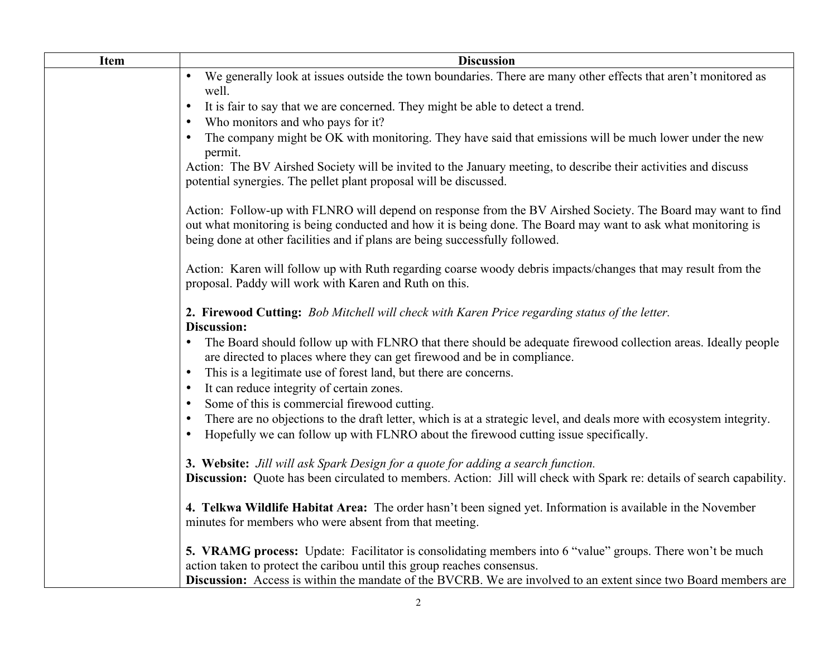| Item | <b>Discussion</b>                                                                                                                                                                                                                                                                                             |
|------|---------------------------------------------------------------------------------------------------------------------------------------------------------------------------------------------------------------------------------------------------------------------------------------------------------------|
|      | We generally look at issues outside the town boundaries. There are many other effects that aren't monitored as<br>well.                                                                                                                                                                                       |
|      | It is fair to say that we are concerned. They might be able to detect a trend.                                                                                                                                                                                                                                |
|      | Who monitors and who pays for it?                                                                                                                                                                                                                                                                             |
|      | The company might be OK with monitoring. They have said that emissions will be much lower under the new<br>permit.                                                                                                                                                                                            |
|      | Action: The BV Airshed Society will be invited to the January meeting, to describe their activities and discuss<br>potential synergies. The pellet plant proposal will be discussed.                                                                                                                          |
|      | Action: Follow-up with FLNRO will depend on response from the BV Airshed Society. The Board may want to find<br>out what monitoring is being conducted and how it is being done. The Board may want to ask what monitoring is<br>being done at other facilities and if plans are being successfully followed. |
|      | Action: Karen will follow up with Ruth regarding coarse woody debris impacts/changes that may result from the<br>proposal. Paddy will work with Karen and Ruth on this.                                                                                                                                       |
|      | 2. Firewood Cutting: Bob Mitchell will check with Karen Price regarding status of the letter.                                                                                                                                                                                                                 |
|      | Discussion:                                                                                                                                                                                                                                                                                                   |
|      | The Board should follow up with FLNRO that there should be adequate firewood collection areas. Ideally people<br>are directed to places where they can get firewood and be in compliance.                                                                                                                     |
|      | This is a legitimate use of forest land, but there are concerns.                                                                                                                                                                                                                                              |
|      | It can reduce integrity of certain zones.<br>$\bullet$                                                                                                                                                                                                                                                        |
|      | Some of this is commercial firewood cutting.<br>$\bullet$                                                                                                                                                                                                                                                     |
|      | There are no objections to the draft letter, which is at a strategic level, and deals more with ecosystem integrity.<br>$\bullet$<br>Hopefully we can follow up with FLNRO about the firewood cutting issue specifically.<br>$\bullet$                                                                        |
|      | 3. Website: Jill will ask Spark Design for a quote for adding a search function.<br>Discussion: Quote has been circulated to members. Action: Jill will check with Spark re: details of search capability.                                                                                                    |
|      | 4. Telkwa Wildlife Habitat Area: The order hasn't been signed yet. Information is available in the November<br>minutes for members who were absent from that meeting.                                                                                                                                         |
|      | 5. VRAMG process: Update: Facilitator is consolidating members into 6 "value" groups. There won't be much<br>action taken to protect the caribou until this group reaches consensus.<br>Discussion: Access is within the mandate of the BVCRB. We are involved to an extent since two Board members are       |